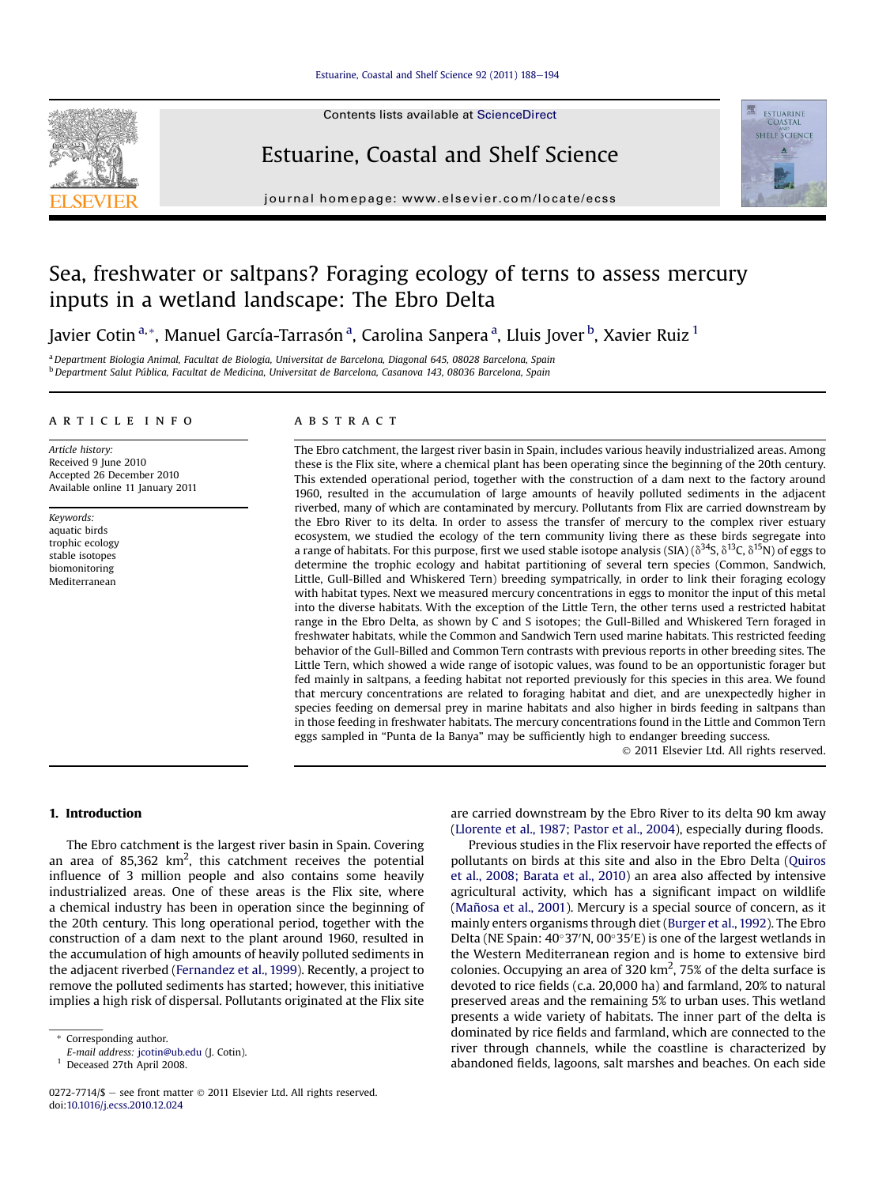#### [Estuarine, Coastal and Shelf Science 92 \(2011\) 188](http://dx.doi.org/10.1016/j.ecss.2010.12.024)-[194](http://dx.doi.org/10.1016/j.ecss.2010.12.024)



Contents lists available at ScienceDirect

# Estuarine, Coastal and Shelf Science



journal homepage: [www.elsevier.com/locate/ecss](http://www.elsevier.com/locate/ecss)

# Sea, freshwater or saltpans? Foraging ecology of terns to assess mercury inputs in a wetland landscape: The Ebro Delta

Javier Cotin<sup>a,</sup>\*, Manuel García-Tarrasón<sup>a</sup>, Carolina Sanpera<sup>a</sup>, Lluis Jover<sup>b</sup>, Xavier Ruiz <sup>1</sup>

<sup>a</sup> Department Biologia Animal, Facultat de Biologia, Universitat de Barcelona, Diagonal 645, 08028 Barcelona, Spain <sup>b</sup> Department Salut Pública, Facultat de Medicina, Universitat de Barcelona, Casanova 143, 08036 Barcelona, Spain

#### article info

Article history: Received 9 June 2010 Accepted 26 December 2010 Available online 11 January 2011

Keywords: aquatic birds trophic ecology stable isotopes biomonitoring Mediterranean

#### **ABSTRACT**

The Ebro catchment, the largest river basin in Spain, includes various heavily industrialized areas. Among these is the Flix site, where a chemical plant has been operating since the beginning of the 20th century. This extended operational period, together with the construction of a dam next to the factory around 1960, resulted in the accumulation of large amounts of heavily polluted sediments in the adjacent riverbed, many of which are contaminated by mercury. Pollutants from Flix are carried downstream by the Ebro River to its delta. In order to assess the transfer of mercury to the complex river estuary ecosystem, we studied the ecology of the tern community living there as these birds segregate into a range of habitats. For this purpose, first we used stable isotope analysis (SIA) ( $\delta^{34}S$ ,  $\delta^{13}C$ ,  $\delta^{15}N$ ) of eggs to determine the trophic ecology and habitat partitioning of several tern species (Common, Sandwich, Little, Gull-Billed and Whiskered Tern) breeding sympatrically, in order to link their foraging ecology with habitat types. Next we measured mercury concentrations in eggs to monitor the input of this metal into the diverse habitats. With the exception of the Little Tern, the other terns used a restricted habitat range in the Ebro Delta, as shown by C and S isotopes; the Gull-Billed and Whiskered Tern foraged in freshwater habitats, while the Common and Sandwich Tern used marine habitats. This restricted feeding behavior of the Gull-Billed and Common Tern contrasts with previous reports in other breeding sites. The Little Tern, which showed a wide range of isotopic values, was found to be an opportunistic forager but fed mainly in saltpans, a feeding habitat not reported previously for this species in this area. We found that mercury concentrations are related to foraging habitat and diet, and are unexpectedly higher in species feeding on demersal prey in marine habitats and also higher in birds feeding in saltpans than in those feeding in freshwater habitats. The mercury concentrations found in the Little and Common Tern eggs sampled in "Punta de la Banya" may be sufficiently high to endanger breeding success.

2011 Elsevier Ltd. All rights reserved.

## 1. Introduction

The Ebro catchment is the largest river basin in Spain. Covering an area of 85,362  $km^2$ , this catchment receives the potential influence of 3 million people and also contains some heavily industrialized areas. One of these areas is the Flix site, where a chemical industry has been in operation since the beginning of the 20th century. This long operational period, together with the construction of a dam next to the plant around 1960, resulted in the accumulation of high amounts of heavily polluted sediments in the adjacent riverbed ([Fernandez et al., 1999\)](#page-5-0). Recently, a project to remove the polluted sediments has started; however, this initiative implies a high risk of dispersal. Pollutants originated at the Flix site are carried downstream by the Ebro River to its delta 90 km away ([Llorente et al., 1987; Pastor et al., 2004\)](#page-5-0), especially during floods.

Previous studies in the Flix reservoir have reported the effects of pollutants on birds at this site and also in the Ebro Delta [\(Quiros](#page-6-0) [et al., 2008; Barata et al., 2010\)](#page-6-0) an area also affected by intensive agricultural activity, which has a significant impact on wildlife ([Mañosa et al., 2001\)](#page-5-0). Mercury is a special source of concern, as it mainly enters organisms through diet [\(Burger et al., 1992](#page-5-0)). The Ebro Delta (NE Spain:  $40^{\circ}37'$ N, 00 $^{\circ}35'$ E) is one of the largest wetlands in the Western Mediterranean region and is home to extensive bird colonies. Occupying an area of 320  $km^2$ , 75% of the delta surface is devoted to rice fields (c.a. 20,000 ha) and farmland, 20% to natural preserved areas and the remaining 5% to urban uses. This wetland presents a wide variety of habitats. The inner part of the delta is dominated by rice fields and farmland, which are connected to the river through channels, while the coastline is characterized by abandoned fields, lagoons, salt marshes and beaches. On each side

<sup>\*</sup> Corresponding author.

E-mail address: [jcotin@ub.edu](mailto:jcotin@ub.edu) (J. Cotin).

<sup>1</sup> Deceased 27th April 2008.

<sup>0272-7714/\$</sup>  $-$  see front matter  $\odot$  2011 Elsevier Ltd. All rights reserved. doi:[10.1016/j.ecss.2010.12.024](http://dx.doi.org/10.1016/j.ecss.2010.12.024)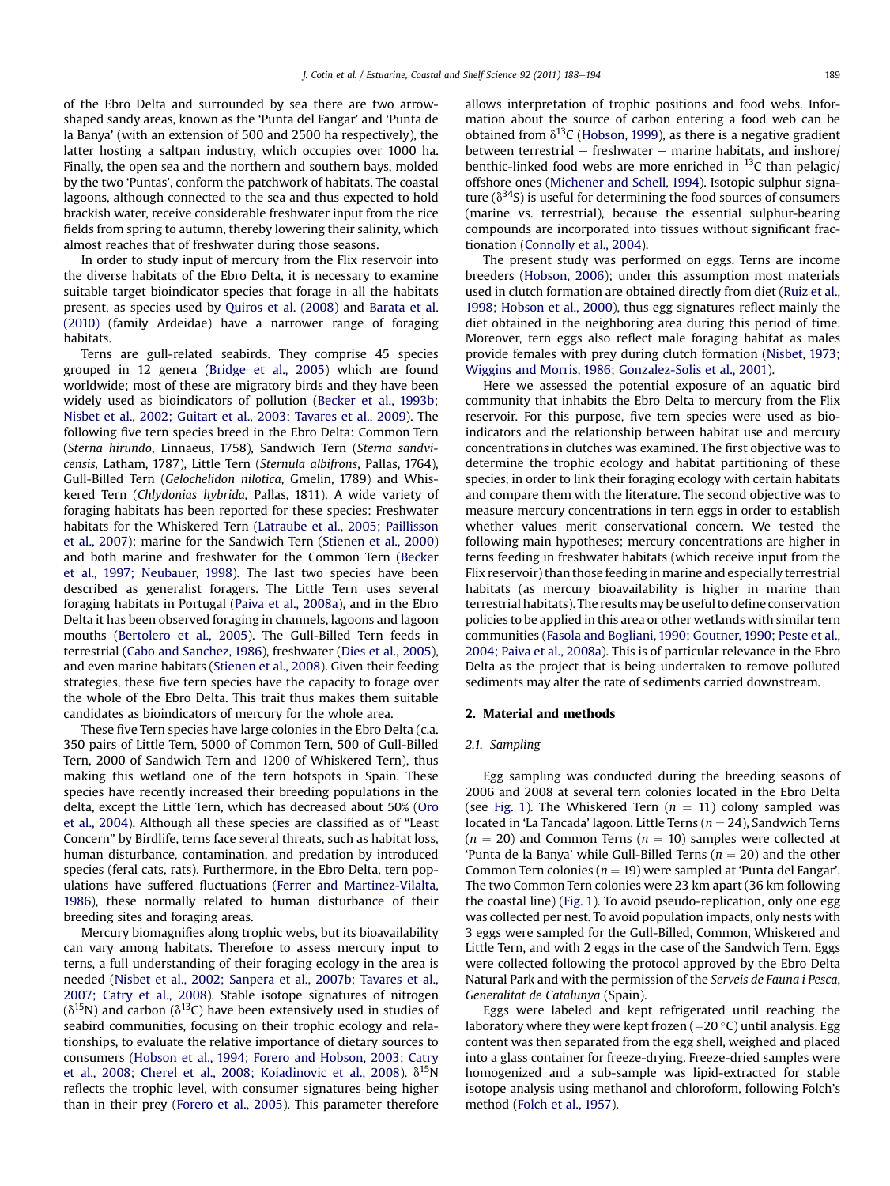of the Ebro Delta and surrounded by sea there are two arrowshaped sandy areas, known as the 'Punta del Fangar' and 'Punta de la Banya' (with an extension of 500 and 2500 ha respectively), the latter hosting a saltpan industry, which occupies over 1000 ha. Finally, the open sea and the northern and southern bays, molded by the two 'Puntas', conform the patchwork of habitats. The coastal lagoons, although connected to the sea and thus expected to hold brackish water, receive considerable freshwater input from the rice fields from spring to autumn, thereby lowering their salinity, which almost reaches that of freshwater during those seasons.

In order to study input of mercury from the Flix reservoir into the diverse habitats of the Ebro Delta, it is necessary to examine suitable target bioindicator species that forage in all the habitats present, as species used by [Quiros et al. \(2008\)](#page-6-0) and [Barata et al.](#page-5-0) [\(2010\)](#page-5-0) (family Ardeidae) have a narrower range of foraging habitats.

Terns are gull-related seabirds. They comprise 45 species grouped in 12 genera [\(Bridge et al., 2005](#page-5-0)) which are found worldwide; most of these are migratory birds and they have been widely used as bioindicators of pollution ([Becker et al., 1993b;](#page-5-0) [Nisbet et al., 2002; Guitart et al., 2003; Tavares et al., 2009\)](#page-5-0). The following five tern species breed in the Ebro Delta: Common Tern (Sterna hirundo, Linnaeus, 1758), Sandwich Tern (Sterna sandvicensis, Latham, 1787), Little Tern (Sternula albifrons, Pallas, 1764), Gull-Billed Tern (Gelochelidon nilotica, Gmelin, 1789) and Whiskered Tern (Chlydonias hybrida, Pallas, 1811). A wide variety of foraging habitats has been reported for these species: Freshwater habitats for the Whiskered Tern ([Latraube et al., 2005; Paillisson](#page-5-0) [et al., 2007](#page-5-0)); marine for the Sandwich Tern [\(Stienen et al., 2000\)](#page-6-0) and both marine and freshwater for the Common Tern [\(Becker](#page-5-0) [et al., 1997; Neubauer, 1998\)](#page-5-0). The last two species have been described as generalist foragers. The Little Tern uses several foraging habitats in Portugal [\(Paiva et al., 2008a](#page-6-0)), and in the Ebro Delta it has been observed foraging in channels, lagoons and lagoon mouths [\(Bertolero et al., 2005\)](#page-5-0). The Gull-Billed Tern feeds in terrestrial [\(Cabo and Sanchez, 1986](#page-5-0)), freshwater [\(Dies et al., 2005\)](#page-5-0), and even marine habitats [\(Stienen et al., 2008](#page-6-0)). Given their feeding strategies, these five tern species have the capacity to forage over the whole of the Ebro Delta. This trait thus makes them suitable candidates as bioindicators of mercury for the whole area.

These five Tern species have large colonies in the Ebro Delta (c.a. 350 pairs of Little Tern, 5000 of Common Tern, 500 of Gull-Billed Tern, 2000 of Sandwich Tern and 1200 of Whiskered Tern), thus making this wetland one of the tern hotspots in Spain. These species have recently increased their breeding populations in the delta, except the Little Tern, which has decreased about 50% ([Oro](#page-6-0) [et al., 2004\)](#page-6-0). Although all these species are classified as of "Least Concern" by Birdlife, terns face several threats, such as habitat loss, human disturbance, contamination, and predation by introduced species (feral cats, rats). Furthermore, in the Ebro Delta, tern populations have suffered fluctuations [\(Ferrer and Martinez-Vilalta,](#page-5-0) [1986\)](#page-5-0), these normally related to human disturbance of their breeding sites and foraging areas.

Mercury biomagnifies along trophic webs, but its bioavailability can vary among habitats. Therefore to assess mercury input to terns, a full understanding of their foraging ecology in the area is needed ([Nisbet et al., 2002; Sanpera et al., 2007b; Tavares et al.,](#page-6-0) [2007; Catry et al., 2008\)](#page-6-0). Stable isotope signatures of nitrogen  $(\delta^{15}N)$  and carbon  $(\delta^{13}C)$  have been extensively used in studies of seabird communities, focusing on their trophic ecology and relationships, to evaluate the relative importance of dietary sources to consumers ([Hobson et al., 1994; Forero and Hobson, 2003; Catry](#page-5-0) [et al., 2008; Cherel et al., 2008; Koiadinovic et al., 2008\)](#page-5-0).  $\delta^{15}N$ reflects the trophic level, with consumer signatures being higher than in their prey [\(Forero et al., 2005](#page-5-0)). This parameter therefore allows interpretation of trophic positions and food webs. Information about the source of carbon entering a food web can be obtained from  $\delta^{13}$ C [\(Hobson, 1999\)](#page-5-0), as there is a negative gradient between terrestrial  $-$  freshwater  $-$  marine habitats, and inshore/ benthic-linked food webs are more enriched in  $^{13}$ C than pelagic/ offshore ones [\(Michener and Schell, 1994](#page-5-0)). Isotopic sulphur signature ( $\delta^{34}$ S) is useful for determining the food sources of consumers (marine vs. terrestrial), because the essential sulphur-bearing compounds are incorporated into tissues without significant fractionation [\(Connolly et al., 2004](#page-5-0)).

The present study was performed on eggs. Terns are income breeders ([Hobson, 2006\)](#page-5-0); under this assumption most materials used in clutch formation are obtained directly from diet ([Ruiz et al.,](#page-6-0) [1998; Hobson et al., 2000](#page-6-0)), thus egg signatures reflect mainly the diet obtained in the neighboring area during this period of time. Moreover, tern eggs also reflect male foraging habitat as males provide females with prey during clutch formation [\(Nisbet, 1973;](#page-6-0) [Wiggins and Morris, 1986; Gonzalez-Solis et al., 2001\)](#page-6-0).

Here we assessed the potential exposure of an aquatic bird community that inhabits the Ebro Delta to mercury from the Flix reservoir. For this purpose, five tern species were used as bioindicators and the relationship between habitat use and mercury concentrations in clutches was examined. The first objective was to determine the trophic ecology and habitat partitioning of these species, in order to link their foraging ecology with certain habitats and compare them with the literature. The second objective was to measure mercury concentrations in tern eggs in order to establish whether values merit conservational concern. We tested the following main hypotheses; mercury concentrations are higher in terns feeding in freshwater habitats (which receive input from the Flix reservoir) than those feeding in marine and especially terrestrial habitats (as mercury bioavailability is higher in marine than terrestrial habitats). The results may be useful to define conservation policies to be applied in this area or other wetlands with similar tern communities ([Fasola and Bogliani, 1990; Goutner, 1990; Peste et al.,](#page-5-0) [2004; Paiva et al., 2008a\)](#page-5-0). This is of particular relevance in the Ebro Delta as the project that is being undertaken to remove polluted sediments may alter the rate of sediments carried downstream.

#### 2. Material and methods

#### 2.1. Sampling

Egg sampling was conducted during the breeding seasons of 2006 and 2008 at several tern colonies located in the Ebro Delta (see [Fig. 1](#page-2-0)). The Whiskered Tern ( $n = 11$ ) colony sampled was located in 'La Tancada' lagoon. Little Terns ( $n = 24$ ), Sandwich Terns  $(n = 20)$  and Common Terns  $(n = 10)$  samples were collected at 'Punta de la Banya' while Gull-Billed Terns ( $n = 20$ ) and the other Common Tern colonies ( $n = 19$ ) were sampled at 'Punta del Fangar'. The two Common Tern colonies were 23 km apart (36 km following the coastal line) [\(Fig. 1\)](#page-2-0). To avoid pseudo-replication, only one egg was collected per nest. To avoid population impacts, only nests with 3 eggs were sampled for the Gull-Billed, Common, Whiskered and Little Tern, and with 2 eggs in the case of the Sandwich Tern. Eggs were collected following the protocol approved by the Ebro Delta Natural Park and with the permission of the Serveis de Fauna i Pesca, Generalitat de Catalunya (Spain).

Eggs were labeled and kept refrigerated until reaching the laboratory where they were kept frozen ( $-20$  °C) until analysis. Egg content was then separated from the egg shell, weighed and placed into a glass container for freeze-drying. Freeze-dried samples were homogenized and a sub-sample was lipid-extracted for stable isotope analysis using methanol and chloroform, following Folch's method ([Folch et al., 1957](#page-5-0)).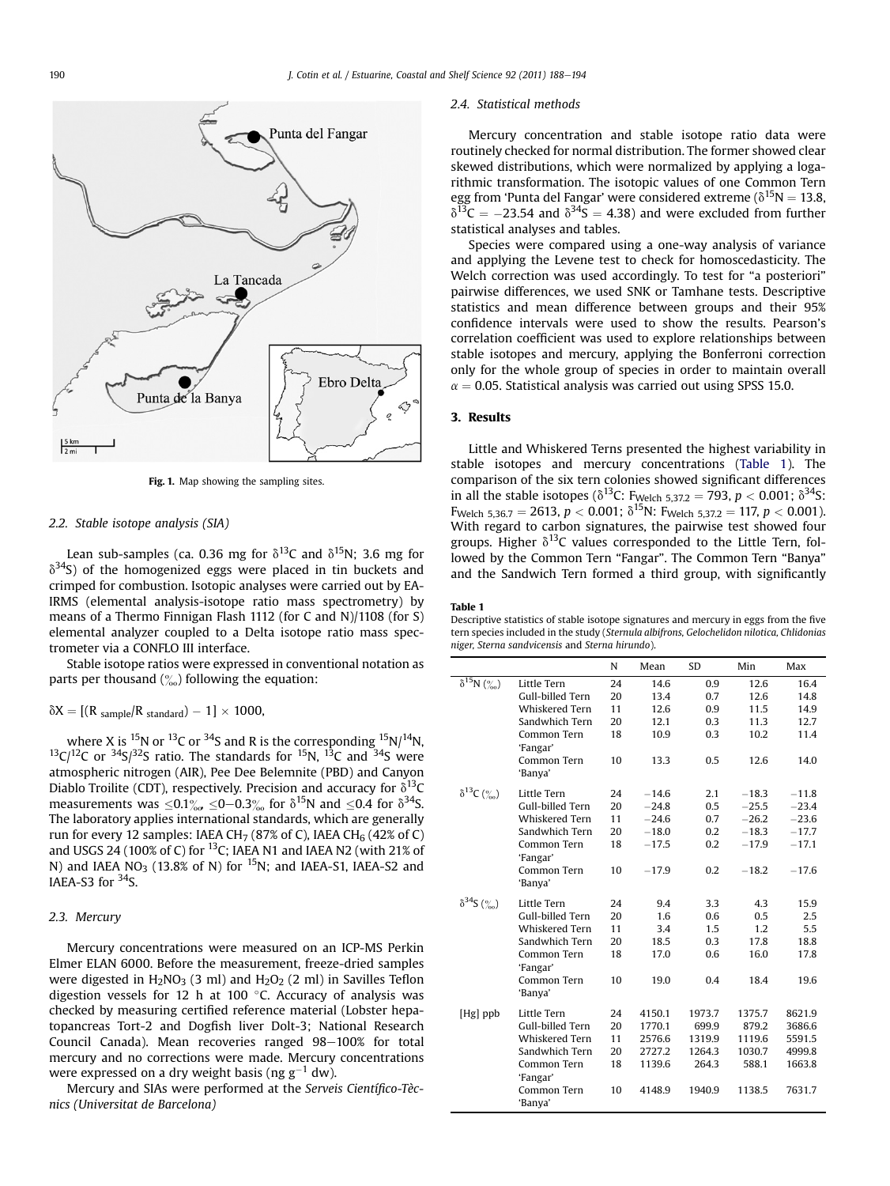<span id="page-2-0"></span>

Fig. 1. Map showing the sampling sites.

#### 2.2. Stable isotope analysis (SIA)

Lean sub-samples (ca. 0.36 mg for  $\delta^{13}$ C and  $\delta^{15}$ N; 3.6 mg for  $\delta^{34}$ S) of the homogenized eggs were placed in tin buckets and crimped for combustion. Isotopic analyses were carried out by EA-IRMS (elemental analysis-isotope ratio mass spectrometry) by means of a Thermo Finnigan Flash 1112 (for C and N)/1108 (for S) elemental analyzer coupled to a Delta isotope ratio mass spectrometer via a CONFLO III interface.

Stable isotope ratios were expressed in conventional notation as parts per thousand  $\binom{9}{00}$  following the equation:

 $\delta X = [(R \text{ sample}/R \text{ standard}) - 1] \times 1000,$ 

where X is <sup>15</sup>N or <sup>13</sup>C or <sup>34</sup>S and R is the corresponding <sup>15</sup>N/<sup>14</sup>N,  $13C/12C$  or  $34S/32S$  ratio. The standards for  $15N$ ,  $13C$  and  $34S$  were atmospheric nitrogen (AIR), Pee Dee Belemnite (PBD) and Canyon Diablo Troilite (CDT), respectively. Precision and accuracy for  $\delta^{13}C$ measurements was  $\leq 0.1\%_{\odot} \leq 0-0.3\%$  for  $\delta^{15}N$  and  $\leq 0.4$  for  $\delta^{34}S$ . The laboratory applies international standards, which are generally run for every 12 samples: IAEA CH<sub>7</sub> (87% of C), IAEA CH<sub>6</sub> (42% of C) and USGS 24 (100% of C) for <sup>13</sup>C; IAEA N1 and IAEA N2 (with 21% of N) and IAEA  $NO<sub>3</sub>$  (13.8% of N) for <sup>15</sup>N; and IAEA-S1, IAEA-S2 and IAEA-S3 for  $34$ S.

## 2.3. Mercury

Mercury concentrations were measured on an ICP-MS Perkin Elmer ELAN 6000. Before the measurement, freeze-dried samples were digested in  $H_2NO_3$  (3 ml) and  $H_2O_2$  (2 ml) in Savilles Teflon digestion vessels for 12 h at 100 $\degree$ C. Accuracy of analysis was checked by measuring certified reference material (Lobster hepatopancreas Tort-2 and Dogfish liver Dolt-3; National Research Council Canada). Mean recoveries ranged 98-100% for total mercury and no corrections were made. Mercury concentrations were expressed on a dry weight basis (ng  $g^{-1}$  dw).

Mercury and SIAs were performed at the Serveis Científico-Tècnics (Universitat de Barcelona)

#### 2.4. Statistical methods

Mercury concentration and stable isotope ratio data were routinely checked for normal distribution. The former showed clear skewed distributions, which were normalized by applying a logarithmic transformation. The isotopic values of one Common Tern egg from 'Punta del Fangar' were considered extreme ( $\delta^{15}N = 13.8$ ,  $\delta^{13}C = -23.54$  and  $\delta^{34}S = 4.38$ ) and were excluded from further statistical analyses and tables.

Species were compared using a one-way analysis of variance and applying the Levene test to check for homoscedasticity. The Welch correction was used accordingly. To test for "a posteriori" pairwise differences, we used SNK or Tamhane tests. Descriptive statistics and mean difference between groups and their 95% confidence intervals were used to show the results. Pearson's correlation coefficient was used to explore relationships between stable isotopes and mercury, applying the Bonferroni correction only for the whole group of species in order to maintain overall  $\alpha$  = 0.05. Statistical analysis was carried out using SPSS 15.0.

#### 3. Results

Little and Whiskered Terns presented the highest variability in stable isotopes and mercury concentrations (Table 1). The comparison of the six tern colonies showed significant differences in all the stable isotopes ( $\delta^{13}$ C: F<sub>Welch 5,37.2</sub> = 793, p < 0.001;  $\delta^{34}$ S: Fwelch 5,36.7 = 2613,  $p < 0.001$ ;  $\delta^{15}N$ : Fwelch 5,37.2 = 117,  $p < 0.001$ ). With regard to carbon signatures, the pairwise test showed four groups. Higher  $\delta^{13}$ C values corresponded to the Little Tern, followed by the Common Tern "Fangar". The Common Tern "Banya" and the Sandwich Tern formed a third group, with significantly

#### Table 1

Descriptive statistics of stable isotope signatures and mercury in eggs from the five tern species included in the study (Sternula albifrons, Gelochelidon nilotica, Chlidonias niger, Sterna sandvicensis and Sterna hirundo).

|                                                  |                         | N  | Mean    | <b>SD</b> | Min     | Max     |
|--------------------------------------------------|-------------------------|----|---------|-----------|---------|---------|
| $\overline{\delta^{15}N}$ (%)                    | Little Tern             | 24 | 14.6    | 0.9       | 12.6    | 16.4    |
|                                                  | Gull-billed Tern        | 20 | 13.4    | 0.7       | 12.6    | 14.8    |
|                                                  | Whiskered Tern          | 11 | 12.6    | 0.9       | 11.5    | 14.9    |
|                                                  | Sandwhich Tern          | 20 | 12.1    | 0.3       | 11.3    | 12.7    |
|                                                  | Common Tern<br>'Fangar' | 18 | 10.9    | 0.3       | 10.2    | 11.4    |
|                                                  | Common Tern<br>'Banya'  | 10 | 13.3    | 0.5       | 12.6    | 14.0    |
| $\delta^{13}C\left(\substack{0\\ \infty}\right)$ | Little Tern             | 24 | $-14.6$ | 2.1       | $-18.3$ | $-11.8$ |
|                                                  | Gull-billed Tern        | 20 | $-24.8$ | 0.5       | $-25.5$ | $-23.4$ |
|                                                  | Whiskered Tern          | 11 | $-24.6$ | 0.7       | $-26.2$ | $-23.6$ |
|                                                  | Sandwhich Tern          | 20 | $-18.0$ | 0.2       | $-18.3$ | $-17.7$ |
|                                                  | Common Tern<br>'Fangar' | 18 | $-17.5$ | 0.2       | $-17.9$ | $-17.1$ |
|                                                  | Common Tern<br>'Banya'  | 10 | $-17.9$ | 0.2       | $-18.2$ | $-17.6$ |
| $\delta^{34}S\ (\%)$                             | Little Tern             | 24 | 9.4     | 3.3       | 4.3     | 15.9    |
|                                                  | Gull-billed Tern        | 20 | 1.6     | 0.6       | 0.5     | 2.5     |
|                                                  | Whiskered Tern          | 11 | 3.4     | 1.5       | 1.2     | 5.5     |
|                                                  | Sandwhich Tern          | 20 | 18.5    | 0.3       | 17.8    | 18.8    |
|                                                  | Common Tern<br>'Fangar' | 18 | 17.0    | 0.6       | 16.0    | 17.8    |
|                                                  | Common Tern<br>'Banya'  | 10 | 19.0    | 0.4       | 18.4    | 19.6    |
| [Hg] ppb                                         | Little Tern             | 24 | 4150.1  | 1973.7    | 1375.7  | 8621.9  |
|                                                  | Gull-billed Tern        | 20 | 1770.1  | 699.9     | 879.2   | 3686.6  |
|                                                  | Whiskered Tern          | 11 | 2576.6  | 1319.9    | 1119.6  | 5591.5  |
|                                                  | Sandwhich Tern          | 20 | 2727.2  | 1264.3    | 1030.7  | 4999.8  |
|                                                  | Common Tern<br>'Fangar' | 18 | 1139.6  | 264.3     | 588.1   | 1663.8  |
|                                                  | Common Tern<br>'Banya'  | 10 | 4148.9  | 1940.9    | 1138.5  | 7631.7  |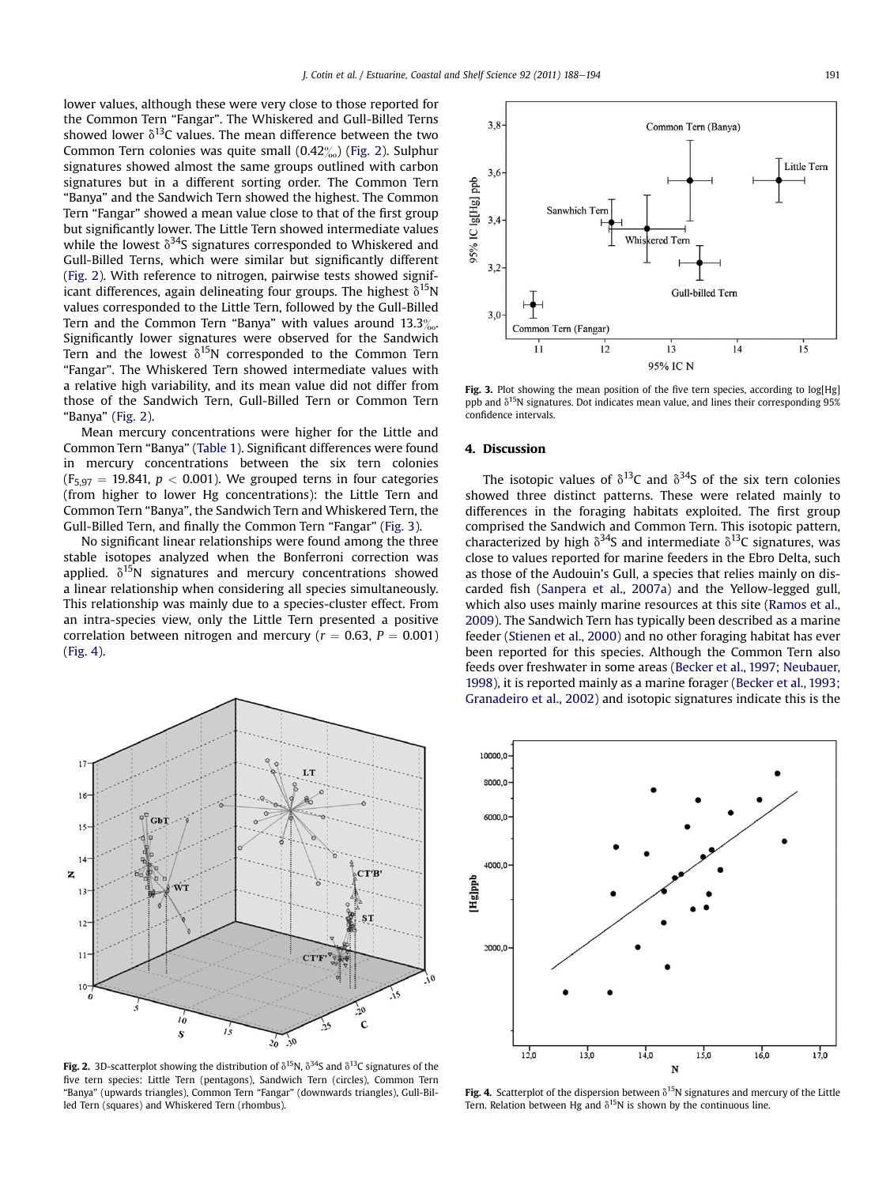lower values, although these were very close to those reported for the Common Tern "Fangar". The Whiskered and Gull-Billed Terns showed lower  $\delta^{13}$ C values. The mean difference between the two Common Tern colonies was quite small  $(0.42%)$  (Fig. 2). Sulphur signatures showed almost the same groups outlined with carbon signatures but in a different sorting order. The Common Tern "Banya" and the Sandwich Tern showed the highest. The Common Tern "Fangar" showed a mean value close to that of the first group but significantly lower. The Little Tern showed intermediate values while the lowest  $\delta^{34}$ S signatures corresponded to Whiskered and Gull-Billed Terns, which were similar but significantly different (Fig. 2). With reference to nitrogen, pairwise tests showed significant differences, again delineating four groups. The highest  $\delta^{15}N$ values corresponded to the Little Tern, followed by the Gull-Billed Tern and the Common Tern "Banya" with values around  $13.3\%$ . Significantly lower signatures were observed for the Sandwich Tern and the lowest  $\delta^{15}N$  corresponded to the Common Tern "Fangar". The Whiskered Tern showed intermediate values with a relative high variability, and its mean value did not differ from those of the Sandwich Tern, Gull-Billed Tern or Common Tern "Banya" (Fig. 2).

Mean mercury concentrations were higher for the Little and Common Tern "Banya" ([Table 1](#page-2-0)). Significant differences were found in mercury concentrations between the six tern colonies  $(F_{5,97} = 19.841, p < 0.001)$ . We grouped terns in four categories (from higher to lower Hg concentrations): the Little Tern and Common Tern "Banya", the Sandwich Tern and Whiskered Tern, the Gull-Billed Tern, and finally the Common Tern "Fangar" (Fig. 3).

No significant linear relationships were found among the three stable isotopes analyzed when the Bonferroni correction was applied.  $\delta^{15}N$  signatures and mercury concentrations showed a linear relationship when considering all species simultaneously. This relationship was mainly due to a species-cluster effect. From an intra-species view, only the Little Tern presented a positive correlation between nitrogen and mercury ( $r = 0.63$ ,  $P = 0.001$ ) (Fig. 4).



Fig. 2. 3D-scatterplot showing the distribution of  $\delta^{15}N$ ,  $\delta^{34}S$  and  $\delta^{13}C$  signatures of the five tern species: Little Tern (pentagons), Sandwich Tern (circles), Common Tern "Banya" (upwards triangles), Common Tern "Fangar" (downwards triangles), Gull-Billed Tern (squares) and Whiskered Tern (rhombus).



Fig. 3. Plot showing the mean position of the five tern species, according to log[Hg] ppb and  $\delta^{15}$ N signatures. Dot indicates mean value, and lines their corresponding 95% confidence intervals.

#### 4. Discussion

The isotopic values of  $\delta^{13}C$  and  $\delta^{34}S$  of the six tern colonies showed three distinct patterns. These were related mainly to differences in the foraging habitats exploited. The first group comprised the Sandwich and Common Tern. This isotopic pattern, characterized by high  $\delta^{34}S$  and intermediate  $\delta^{13}C$  signatures, was close to values reported for marine feeders in the Ebro Delta, such as those of the Audouin's Gull, a species that relies mainly on discarded fish [\(Sanpera et al., 2007a](#page-6-0)) and the Yellow-legged gull, which also uses mainly marine resources at this site ([Ramos et al.,](#page-6-0) [2009\)](#page-6-0). The Sandwich Tern has typically been described as a marine feeder ([Stienen et al., 2000\)](#page-6-0) and no other foraging habitat has ever been reported for this species. Although the Common Tern also feeds over freshwater in some areas [\(Becker et al., 1997; Neubauer,](#page-5-0) [1998\)](#page-5-0), it is reported mainly as a marine forager ([Becker et al., 1993;](#page-5-0) [Granadeiro et al., 2002\)](#page-5-0) and isotopic signatures indicate this is the



Fig. 4. Scatterplot of the dispersion between  $\delta^{15}N$  signatures and mercury of the Little Tern. Relation between Hg and  $\delta^{15}N$  is shown by the continuous line.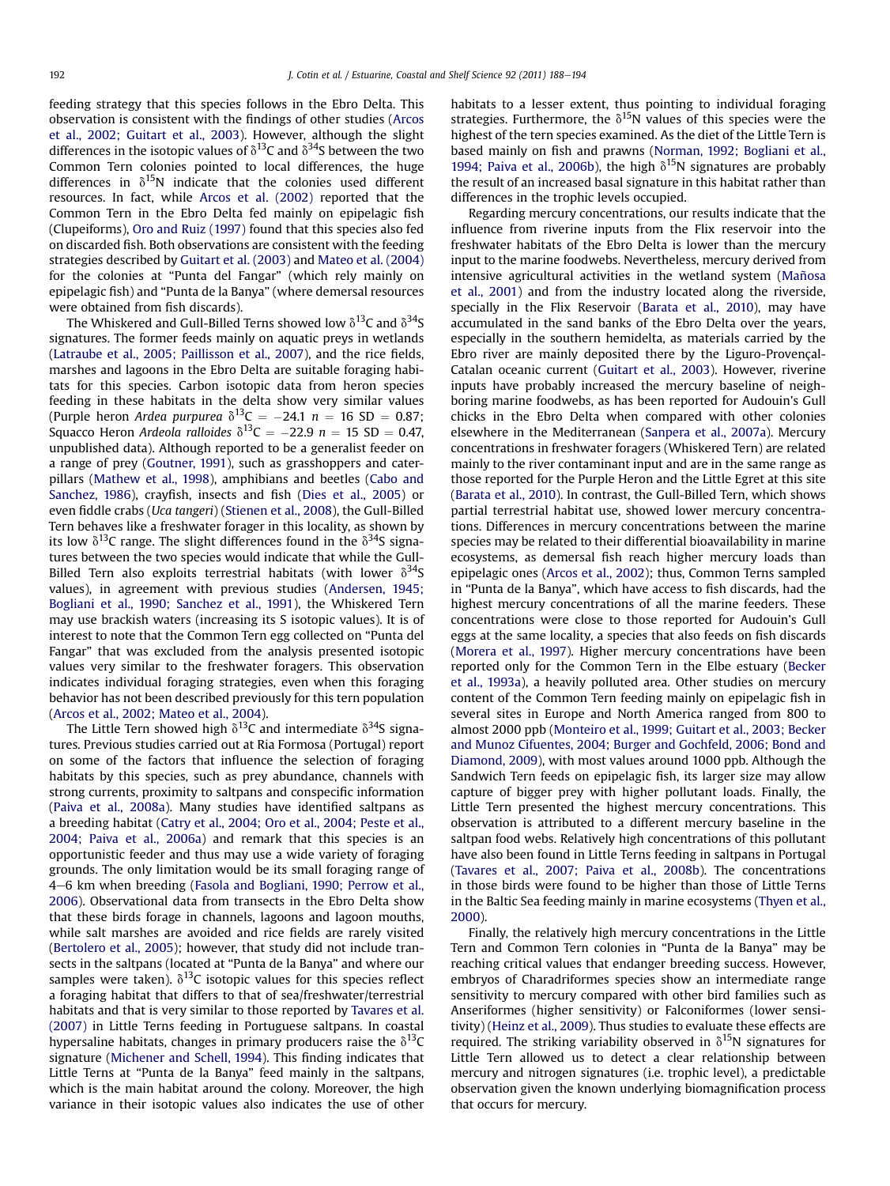feeding strategy that this species follows in the Ebro Delta. This observation is consistent with the findings of other studies [\(Arcos](#page-5-0) [et al., 2002; Guitart et al., 2003](#page-5-0)). However, although the slight differences in the isotopic values of  $\delta^{13}$ C and  $\delta^{34}$ S between the two Common Tern colonies pointed to local differences, the huge differences in  $\delta^{15}N$  indicate that the colonies used different resources. In fact, while [Arcos et al. \(2002\)](#page-5-0) reported that the Common Tern in the Ebro Delta fed mainly on epipelagic fish (Clupeiforms), [Oro and Ruiz \(1997\)](#page-6-0) found that this species also fed on discarded fish. Both observations are consistent with the feeding strategies described by [Guitart et al. \(2003\)](#page-5-0) and [Mateo et al. \(2004\)](#page-5-0) for the colonies at "Punta del Fangar" (which rely mainly on epipelagic fish) and "Punta de la Banya" (where demersal resources were obtained from fish discards).

The Whiskered and Gull-Billed Terns showed low  $\delta^{13}C$  and  $\delta^{34}S$ signatures. The former feeds mainly on aquatic preys in wetlands ([Latraube et al., 2005; Paillisson et al., 2007](#page-5-0)), and the rice fields, marshes and lagoons in the Ebro Delta are suitable foraging habitats for this species. Carbon isotopic data from heron species feeding in these habitats in the delta show very similar values (Purple heron Ardea purpurea  $\delta^{13}C = -24.1$  n = 16 SD = 0.87; Squacco Heron Ardeola ralloides  $\delta^{13}C = -22.9$  n = 15 SD = 0.47, unpublished data). Although reported to be a generalist feeder on a range of prey [\(Goutner, 1991\)](#page-5-0), such as grasshoppers and caterpillars ([Mathew et al., 1998](#page-5-0)), amphibians and beetles ([Cabo and](#page-5-0) [Sanchez, 1986\)](#page-5-0), crayfish, insects and fish [\(Dies et al., 2005](#page-5-0)) or even fiddle crabs (Uca tangeri) ([Stienen et al., 2008](#page-6-0)), the Gull-Billed Tern behaves like a freshwater forager in this locality, as shown by its low  $\delta^{13}$ C range. The slight differences found in the  $\delta^{34}$ S signatures between the two species would indicate that while the Gull-Billed Tern also exploits terrestrial habitats (with lower  $\delta^{34}S$ values), in agreement with previous studies [\(Andersen, 1945;](#page-5-0) [Bogliani et al., 1990; Sanchez et al., 1991](#page-5-0)), the Whiskered Tern may use brackish waters (increasing its S isotopic values). It is of interest to note that the Common Tern egg collected on "Punta del Fangar" that was excluded from the analysis presented isotopic values very similar to the freshwater foragers. This observation indicates individual foraging strategies, even when this foraging behavior has not been described previously for this tern population ([Arcos et al., 2002; Mateo et al., 2004\)](#page-5-0).

The Little Tern showed high  $\delta^{13}$ C and intermediate  $\delta^{34}$ S signatures. Previous studies carried out at Ria Formosa (Portugal) report on some of the factors that influence the selection of foraging habitats by this species, such as prey abundance, channels with strong currents, proximity to saltpans and conspecific information ([Paiva et al., 2008a](#page-6-0)). Many studies have identified saltpans as a breeding habitat ([Catry et al., 2004; Oro et al., 2004; Peste et al.,](#page-5-0) [2004; Paiva et al., 2006a\)](#page-5-0) and remark that this species is an opportunistic feeder and thus may use a wide variety of foraging grounds. The only limitation would be its small foraging range of 4–6 km when breeding [\(Fasola and Bogliani, 1990; Perrow et al.,](#page-5-0) [2006](#page-5-0)). Observational data from transects in the Ebro Delta show that these birds forage in channels, lagoons and lagoon mouths, while salt marshes are avoided and rice fields are rarely visited ([Bertolero et al., 2005](#page-5-0)); however, that study did not include transects in the saltpans (located at "Punta de la Banya" and where our samples were taken).  $\delta^{13}$ C isotopic values for this species reflect a foraging habitat that differs to that of sea/freshwater/terrestrial habitats and that is very similar to those reported by [Tavares et al.](#page-6-0) [\(2007\)](#page-6-0) in Little Terns feeding in Portuguese saltpans. In coastal hypersaline habitats, changes in primary producers raise the  $\delta^{13}C$ signature [\(Michener and Schell, 1994](#page-5-0)). This finding indicates that Little Terns at "Punta de la Banya" feed mainly in the saltpans, which is the main habitat around the colony. Moreover, the high variance in their isotopic values also indicates the use of other habitats to a lesser extent, thus pointing to individual foraging strategies. Furthermore, the  $\delta^{15}N$  values of this species were the highest of the tern species examined. As the diet of the Little Tern is based mainly on fish and prawns ([Norman, 1992; Bogliani et al.,](#page-6-0) [1994; Paiva et al., 2006b\)](#page-6-0), the high  $\delta^{15}N$  signatures are probably the result of an increased basal signature in this habitat rather than differences in the trophic levels occupied.

Regarding mercury concentrations, our results indicate that the influence from riverine inputs from the Flix reservoir into the freshwater habitats of the Ebro Delta is lower than the mercury input to the marine foodwebs. Nevertheless, mercury derived from intensive agricultural activities in the wetland system [\(Mañosa](#page-5-0) [et al., 2001](#page-5-0)) and from the industry located along the riverside, specially in the Flix Reservoir [\(Barata et al., 2010](#page-5-0)), may have accumulated in the sand banks of the Ebro Delta over the years, especially in the southern hemidelta, as materials carried by the Ebro river are mainly deposited there by the Liguro-Provençal-Catalan oceanic current [\(Guitart et al., 2003](#page-5-0)). However, riverine inputs have probably increased the mercury baseline of neighboring marine foodwebs, as has been reported for Audouin's Gull chicks in the Ebro Delta when compared with other colonies elsewhere in the Mediterranean ([Sanpera et al., 2007a\)](#page-6-0). Mercury concentrations in freshwater foragers (Whiskered Tern) are related mainly to the river contaminant input and are in the same range as those reported for the Purple Heron and the Little Egret at this site ([Barata et al., 2010](#page-5-0)). In contrast, the Gull-Billed Tern, which shows partial terrestrial habitat use, showed lower mercury concentrations. Differences in mercury concentrations between the marine species may be related to their differential bioavailability in marine ecosystems, as demersal fish reach higher mercury loads than epipelagic ones ([Arcos et al., 2002\)](#page-5-0); thus, Common Terns sampled in "Punta de la Banya", which have access to fish discards, had the highest mercury concentrations of all the marine feeders. These concentrations were close to those reported for Audouin's Gull eggs at the same locality, a species that also feeds on fish discards ([Morera et al., 1997](#page-5-0)). Higher mercury concentrations have been reported only for the Common Tern in the Elbe estuary ([Becker](#page-5-0) [et al., 1993a\)](#page-5-0), a heavily polluted area. Other studies on mercury content of the Common Tern feeding mainly on epipelagic fish in several sites in Europe and North America ranged from 800 to almost 2000 ppb ([Monteiro et al., 1999; Guitart et al., 2003; Becker](#page-5-0) [and Munoz Cifuentes, 2004; Burger and Gochfeld, 2006; Bond and](#page-5-0) [Diamond, 2009\)](#page-5-0), with most values around 1000 ppb. Although the Sandwich Tern feeds on epipelagic fish, its larger size may allow capture of bigger prey with higher pollutant loads. Finally, the Little Tern presented the highest mercury concentrations. This observation is attributed to a different mercury baseline in the saltpan food webs. Relatively high concentrations of this pollutant have also been found in Little Terns feeding in saltpans in Portugal ([Tavares et al., 2007; Paiva et al., 2008b](#page-6-0)). The concentrations in those birds were found to be higher than those of Little Terns in the Baltic Sea feeding mainly in marine ecosystems [\(Thyen et al.,](#page-6-0) [2000](#page-6-0)).

Finally, the relatively high mercury concentrations in the Little Tern and Common Tern colonies in "Punta de la Banya" may be reaching critical values that endanger breeding success. However, embryos of Charadriformes species show an intermediate range sensitivity to mercury compared with other bird families such as Anseriformes (higher sensitivity) or Falconiformes (lower sensitivity) [\(Heinz et al., 2009](#page-5-0)). Thus studies to evaluate these effects are required. The striking variability observed in  $\delta^{15}N$  signatures for Little Tern allowed us to detect a clear relationship between mercury and nitrogen signatures (i.e. trophic level), a predictable observation given the known underlying biomagnification process that occurs for mercury.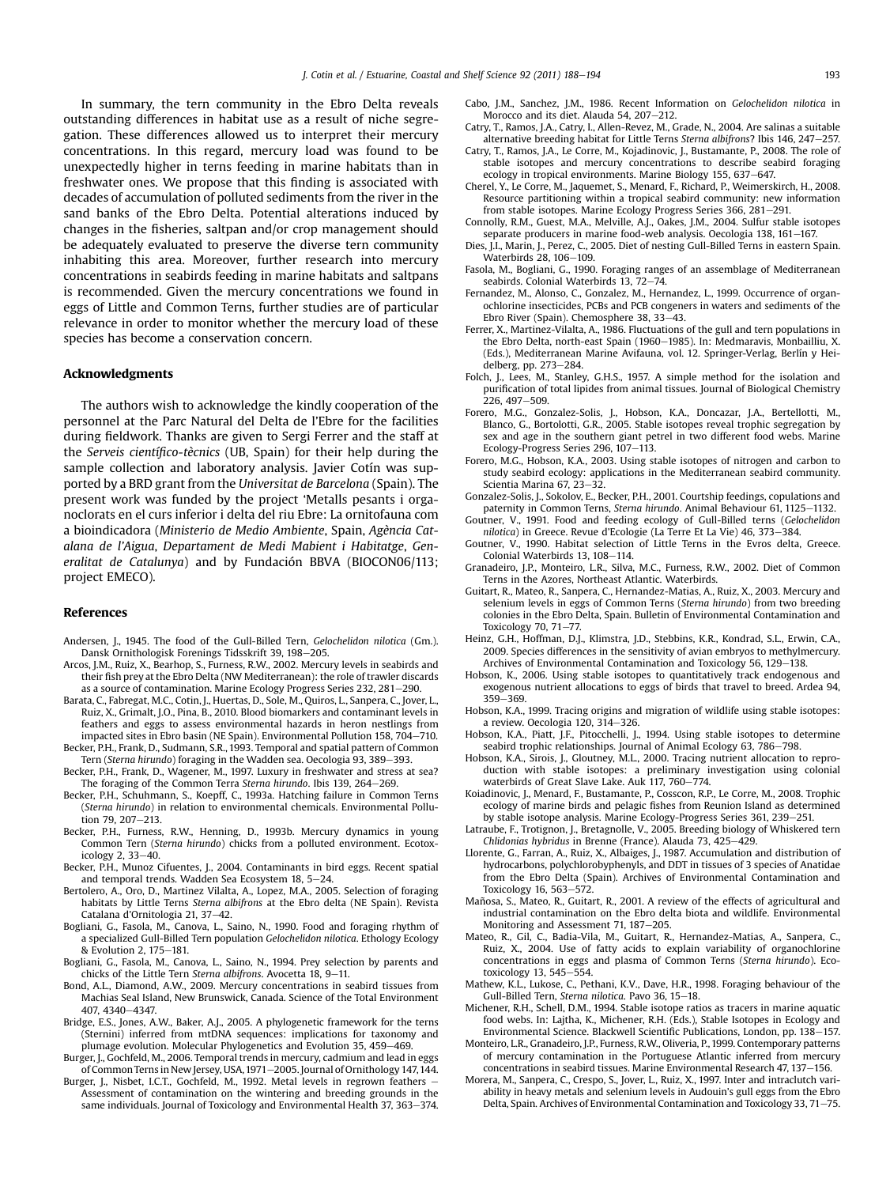<span id="page-5-0"></span>In summary, the tern community in the Ebro Delta reveals outstanding differences in habitat use as a result of niche segregation. These differences allowed us to interpret their mercury concentrations. In this regard, mercury load was found to be unexpectedly higher in terns feeding in marine habitats than in freshwater ones. We propose that this finding is associated with decades of accumulation of polluted sediments from the river in the sand banks of the Ebro Delta. Potential alterations induced by changes in the fisheries, saltpan and/or crop management should be adequately evaluated to preserve the diverse tern community inhabiting this area. Moreover, further research into mercury concentrations in seabirds feeding in marine habitats and saltpans is recommended. Given the mercury concentrations we found in eggs of Little and Common Terns, further studies are of particular relevance in order to monitor whether the mercury load of these species has become a conservation concern.

#### Acknowledgments

The authors wish to acknowledge the kindly cooperation of the personnel at the Parc Natural del Delta de l'Ebre for the facilities during fieldwork. Thanks are given to Sergi Ferrer and the staff at the Serveis científico-tècnics (UB, Spain) for their help during the sample collection and laboratory analysis. Javier Cotín was supported by a BRD grant from the Universitat de Barcelona (Spain). The present work was funded by the project 'Metalls pesants i organoclorats en el curs inferior i delta del riu Ebre: La ornitofauna com a bioindicadora (Ministerio de Medio Ambiente, Spain, Agència Catalana de l'Aigua, Departament de Medi Mabient i Habitatge, Generalitat de Catalunya) and by Fundación BBVA (BIOCON06/113; project EMECO).

#### References

- Andersen, J., 1945. The food of the Gull-Billed Tern, Gelochelidon nilotica (Gm.). Dansk Ornithologisk Forenings Tidsskrift 39, 198-205.
- Arcos, J.M., Ruiz, X., Bearhop, S., Furness, R.W., 2002. Mercury levels in seabirds and their fish prey at the Ebro Delta (NW Mediterranean): the role of trawler discards as a source of contamination. Marine Ecology Progress Series  $232, 281-290$ .
- Barata, C., Fabregat, M.C., Cotin, J., Huertas, D., Sole, M., Quiros, L., Sanpera, C., Jover, L., Ruiz, X., Grimalt, J.O., Pina, B., 2010. Blood biomarkers and contaminant levels in feathers and eggs to assess environmental hazards in heron nestlings from impacted sites in Ebro basin (NE Spain). Environmental Pollution 158, 704-710.
- Becker, P.H., Frank, D., Sudmann, S.R., 1993. Temporal and spatial pattern of Common Tern (Sterna hirundo) foraging in the Wadden sea. Oecologia 93, 389-393.
- Becker, P.H., Frank, D., Wagener, M., 1997. Luxury in freshwater and stress at sea? The foraging of the Common Terra Sterna hirundo. Ibis 139, 264–269.
- Becker, P.H., Schuhmann, S., Koepff, C., 1993a. Hatching failure in Common Terns (Sterna hirundo) in relation to environmental chemicals. Environmental Pollution 79,  $207 - 213$ .
- Becker, P.H., Furness, R.W., Henning, D., 1993b. Mercury dynamics in young Common Tern (Sterna hirundo) chicks from a polluted environment. Ecotox $icology$  2, 33-40.
- Becker, P.H., Munoz Cifuentes, J., 2004. Contaminants in bird eggs. Recent spatial and temporal trends. Wadden Sea Ecosystem  $18, 5-24$ .
- Bertolero, A., Oro, D., Martinez Vilalta, A., Lopez, M.A., 2005. Selection of foraging habitats by Little Terns Sterna albifrons at the Ebro delta (NE Spain). Revista Catalana d'Ornitologia 21, 37-42.
- Bogliani, G., Fasola, M., Canova, L., Saino, N., 1990. Food and foraging rhythm of a specialized Gull-Billed Tern population Gelochelidon nilotica. Ethology Ecology & Evolution 2, 175-181.
- Bogliani, G., Fasola, M., Canova, L., Saino, N., 1994. Prey selection by parents and chicks of the Little Tern Sterna albifrons. Avocetta 18,  $9-11$ .
- Bond, A.L., Diamond, A.W., 2009. Mercury concentrations in seabird tissues from Machias Seal Island, New Brunswick, Canada. Science of the Total Environment 407, 4340-4347.
- Bridge, E.S., Jones, A.W., Baker, A.J., 2005. A phylogenetic framework for the terns (Sternini) inferred from mtDNA sequences: implications for taxonomy and plumage evolution. Molecular Phylogenetics and Evolution 35, 459-469.
- Burger, J., Gochfeld, M., 2006. Temporal trends in mercury, cadmium and lead in eggs of Common Terns in New Jersey, USA, 1971-2005. Journal of Ornithology 147, 144.
- Burger, J., Nisbet, I.C.T., Gochfeld, M., 1992. Metal levels in regrown feathers -Assessment of contamination on the wintering and breeding grounds in the same individuals. Journal of Toxicology and Environmental Health 37, 363-374.
- Cabo, J.M., Sanchez, J.M., 1986. Recent Information on Gelochelidon nilotica in Morocco and its diet. Alauda 54, 207-212.
- Catry, T., Ramos, J.A., Catry, I., Allen-Revez, M., Grade, N., 2004. Are salinas a suitable alternative breeding habitat for Little Terns Sterna albifrons? Ibis  $146.247-257.$
- Catry, T., Ramos, J.A., Le Corre, M., Kojadinovic, J., Bustamante, P., 2008. The role of stable isotopes and mercury concentrations to describe seabird foraging ecology in tropical environments. Marine Biology 155, 637-647.
- Cherel, Y., Le Corre, M., Jaquemet, S., Menard, F., Richard, P., Weimerskirch, H., 2008. Resource partitioning within a tropical seabird community: new information from stable isotopes. Marine Ecology Progress Series 366, 281-291.
- Connolly, R.M., Guest, M.A., Melville, A.J., Oakes, J.M., 2004. Sulfur stable isotopes separate producers in marine food-web analysis. Oecologia 138, 161-167.
- Dies, J.I., Marin, J., Perez, C., 2005. Diet of nesting Gull-Billed Terns in eastern Spain. Waterbirds 28, 106-109.
- Fasola, M., Bogliani, G., 1990. Foraging ranges of an assemblage of Mediterranean seabirds. Colonial Waterbirds  $13.72-74.$
- Fernandez, M., Alonso, C., Gonzalez, M., Hernandez, L., 1999. Occurrence of organochlorine insecticides, PCBs and PCB congeners in waters and sediments of the Ebro River (Spain). Chemosphere 38, 33-43.
- Ferrer, X., Martinez-Vilalta, A., 1986. Fluctuations of the gull and tern populations in the Ebro Delta, north-east Spain (1960–1985). In: Medmaravis, Monbailliu, X. (Eds.), Mediterranean Marine Avifauna, vol. 12. Springer-Verlag, Berlín y Heidelberg, pp. 273-284.
- Folch, J., Lees, M., Stanley, G.H.S., 1957. A simple method for the isolation and purification of total lipides from animal tissues. Journal of Biological Chemistry 226, 497-509.
- Forero, M.G., Gonzalez-Solis, J., Hobson, K.A., Doncazar, J.A., Bertellotti, M., Blanco, G., Bortolotti, G.R., 2005. Stable isotopes reveal trophic segregation by sex and age in the southern giant petrel in two different food webs. Marine Ecology-Progress Series 296, 107-113.
- Forero, M.G., Hobson, K.A., 2003. Using stable isotopes of nitrogen and carbon to study seabird ecology: applications in the Mediterranean seabird community. Scientia Marina 67, 23-32.
- Gonzalez-Solis, J., Sokolov, E., Becker, P.H., 2001. Courtship feedings, copulations and paternity in Common Terns, Sterna hirundo. Animal Behaviour 61, 1125-1132.
- Goutner, V., 1991. Food and feeding ecology of Gull-Billed terns (Gelochelidon nilotica) in Greece. Revue d'Ecologie (La Terre Et La Vie) 46, 373-384.
- Goutner, V., 1990. Habitat selection of Little Terns in the Evros delta, Greece. Colonial Waterbirds 13, 108-114.
- Granadeiro, J.P., Monteiro, L.R., Silva, M.C., Furness, R.W., 2002. Diet of Common Terns in the Azores, Northeast Atlantic. Waterbirds.
- Guitart, R., Mateo, R., Sanpera, C., Hernandez-Matias, A., Ruiz, X., 2003. Mercury and selenium levels in eggs of Common Terns (Sterna hirundo) from two breeding colonies in the Ebro Delta, Spain. Bulletin of Environmental Contamination and Toxicology 70, 71-77.
- Heinz, G.H., Hoffman, D.J., Klimstra, J.D., Stebbins, K.R., Kondrad, S.L., Erwin, C.A., 2009. Species differences in the sensitivity of avian embryos to methylmercury. Archives of Environmental Contamination and Toxicology 56, 129-138.
- Hobson, K., 2006. Using stable isotopes to quantitatively track endogenous and exogenous nutrient allocations to eggs of birds that travel to breed. Ardea 94,  $359 - 369.$
- Hobson, K.A., 1999. Tracing origins and migration of wildlife using stable isotopes: a review. Oecologia  $120, 314-326$ .
- Hobson, K.A., Piatt, J.F., Pitocchelli, J., 1994. Using stable isotopes to determine seabird trophic relationships. Journal of Animal Ecology 63, 786-798.
- Hobson, K.A., Sirois, J., Gloutney, M.L., 2000. Tracing nutrient allocation to reproduction with stable isotopes: a preliminary investigation using colonial waterbirds of Great Slave Lake. Auk 117, 760-774.
- Koiadinovic, J., Menard, F., Bustamante, P., Cosscon, R.P., Le Corre, M., 2008. Trophic ecology of marine birds and pelagic fishes from Reunion Island as determined by stable isotope analysis. Marine Ecology-Progress Series 361, 239-251.
- Latraube, F., Trotignon, J., Bretagnolle, V., 2005. Breeding biology of Whiskered tern Chlidonias hybridus in Brenne (France). Alauda 73, 425-429.
- Llorente, G., Farran, A., Ruiz, X., Albaiges, J., 1987. Accumulation and distribution of hydrocarbons, polychlorobyphenyls, and DDT in tissues of 3 species of Anatidae from the Ebro Delta (Spain). Archives of Environmental Contamination and Toxicology  $16, 563 - 572$ .
- Mañosa, S., Mateo, R., Guitart, R., 2001. A review of the effects of agricultural and industrial contamination on the Ebro delta biota and wildlife. Environmental Monitoring and Assessment 71, 187-205.
- Mateo, R., Gil, C., Badia-Vila, M., Guitart, R., Hernandez-Matias, A., Sanpera, C., Ruiz, X., 2004. Use of fatty acids to explain variability of organochlorine concentrations in eggs and plasma of Common Terns (Sterna hirundo). Ecotoxicology  $13.545 - 554.$
- Mathew, K.L., Lukose, C., Pethani, K.V., Dave, H.R., 1998. Foraging behaviour of the Gull-Billed Tern, Sterna nilotica. Pavo 36, 15-18.
- Michener, R.H., Schell, D.M., 1994. Stable isotope ratios as tracers in marine aquatic food webs. In: Lajtha, K., Michener, R.H. (Eds.), Stable Isotopes in Ecology and Environmental Science. Blackwell Scientific Publications, London, pp. 138-157.
- Monteiro, L.R., Granadeiro, J.P., Furness, R.W., Oliveria, P., 1999. Contemporary patterns of mercury contamination in the Portuguese Atlantic inferred from mercury concentrations in seabird tissues. Marine Environmental Research 47, 137-156.
- Morera, M., Sanpera, C., Crespo, S., Jover, L., Ruiz, X., 1997. Inter and intraclutch variability in heavy metals and selenium levels in Audouin's gull eggs from the Ebro Delta, Spain. Archives of Environmental Contamination and Toxicology 33, 71–75.